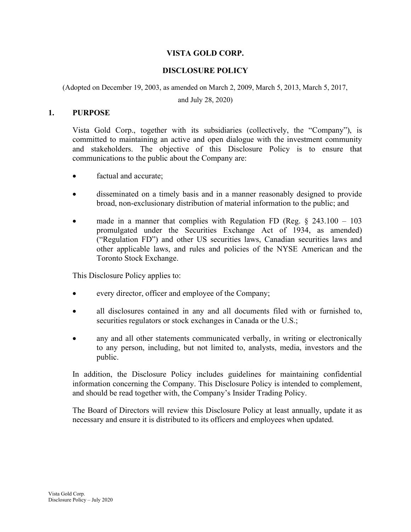# VISTA GOLD CORP.

# DISCLOSURE POLICY

(Adopted on December 19, 2003, as amended on March 2, 2009, March 5, 2013, March 5, 2017,

and July 28, 2020)

#### 1. PURPOSE

Vista Gold Corp., together with its subsidiaries (collectively, the "Company"), is committed to maintaining an active and open dialogue with the investment community and stakeholders. The objective of this Disclosure Policy is to ensure that communications to the public about the Company are:

- factual and accurate;
- disseminated on a timely basis and in a manner reasonably designed to provide broad, non-exclusionary distribution of material information to the public; and
- made in a manner that complies with Regulation FD (Reg.  $\S$  243.100 103 promulgated under the Securities Exchange Act of 1934, as amended) ("Regulation FD") and other US securities laws, Canadian securities laws and other applicable laws, and rules and policies of the NYSE American and the Toronto Stock Exchange.

This Disclosure Policy applies to:

- every director, officer and employee of the Company;
- all disclosures contained in any and all documents filed with or furnished to, securities regulators or stock exchanges in Canada or the U.S.;
- any and all other statements communicated verbally, in writing or electronically to any person, including, but not limited to, analysts, media, investors and the public.

In addition, the Disclosure Policy includes guidelines for maintaining confidential information concerning the Company. This Disclosure Policy is intended to complement, and should be read together with, the Company's Insider Trading Policy.

The Board of Directors will review this Disclosure Policy at least annually, update it as necessary and ensure it is distributed to its officers and employees when updated.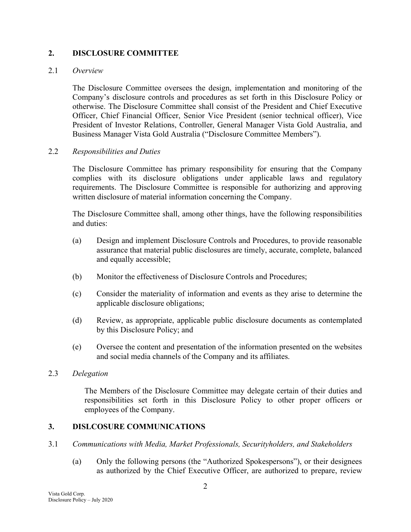## 2. DISCLOSURE COMMITTEE

#### 2.1 Overview

The Disclosure Committee oversees the design, implementation and monitoring of the Company's disclosure controls and procedures as set forth in this Disclosure Policy or otherwise. The Disclosure Committee shall consist of the President and Chief Executive Officer, Chief Financial Officer, Senior Vice President (senior technical officer), Vice President of Investor Relations, Controller, General Manager Vista Gold Australia, and Business Manager Vista Gold Australia ("Disclosure Committee Members").

#### 2.2 Responsibilities and Duties

The Disclosure Committee has primary responsibility for ensuring that the Company complies with its disclosure obligations under applicable laws and regulatory requirements. The Disclosure Committee is responsible for authorizing and approving written disclosure of material information concerning the Company.

The Disclosure Committee shall, among other things, have the following responsibilities and duties:

- (a) Design and implement Disclosure Controls and Procedures, to provide reasonable assurance that material public disclosures are timely, accurate, complete, balanced and equally accessible;
- (b) Monitor the effectiveness of Disclosure Controls and Procedures;
- (c) Consider the materiality of information and events as they arise to determine the applicable disclosure obligations;
- (d) Review, as appropriate, applicable public disclosure documents as contemplated by this Disclosure Policy; and
- (e) Oversee the content and presentation of the information presented on the websites and social media channels of the Company and its affiliates.

#### 2.3 Delegation

The Members of the Disclosure Committee may delegate certain of their duties and responsibilities set forth in this Disclosure Policy to other proper officers or employees of the Company.

#### 3. DISLCOSURE COMMUNICATIONS

- 3.1 Communications with Media, Market Professionals, Securityholders, and Stakeholders
	- (a) Only the following persons (the "Authorized Spokespersons"), or their designees as authorized by the Chief Executive Officer, are authorized to prepare, review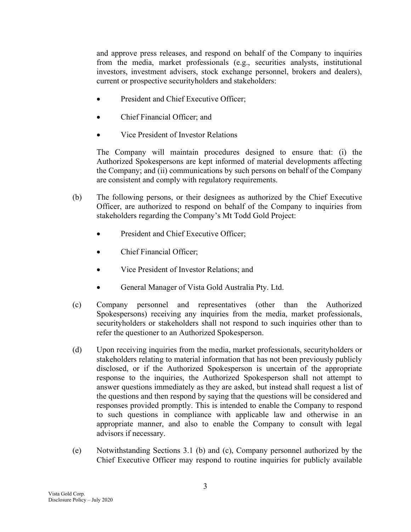and approve press releases, and respond on behalf of the Company to inquiries from the media, market professionals (e.g., securities analysts, institutional investors, investment advisers, stock exchange personnel, brokers and dealers), current or prospective securityholders and stakeholders:

- President and Chief Executive Officer;
- Chief Financial Officer; and
- Vice President of Investor Relations

The Company will maintain procedures designed to ensure that: (i) the Authorized Spokespersons are kept informed of material developments affecting the Company; and (ii) communications by such persons on behalf of the Company are consistent and comply with regulatory requirements.

- (b) The following persons, or their designees as authorized by the Chief Executive Officer, are authorized to respond on behalf of the Company to inquiries from stakeholders regarding the Company's Mt Todd Gold Project:
	- President and Chief Executive Officer;
	- Chief Financial Officer;
	- Vice President of Investor Relations; and
	- General Manager of Vista Gold Australia Pty. Ltd.
- (c) Company personnel and representatives (other than the Authorized Spokespersons) receiving any inquiries from the media, market professionals, securityholders or stakeholders shall not respond to such inquiries other than to refer the questioner to an Authorized Spokesperson.
- (d) Upon receiving inquiries from the media, market professionals, securityholders or stakeholders relating to material information that has not been previously publicly disclosed, or if the Authorized Spokesperson is uncertain of the appropriate response to the inquiries, the Authorized Spokesperson shall not attempt to answer questions immediately as they are asked, but instead shall request a list of the questions and then respond by saying that the questions will be considered and responses provided promptly. This is intended to enable the Company to respond to such questions in compliance with applicable law and otherwise in an appropriate manner, and also to enable the Company to consult with legal advisors if necessary.
- (e) Notwithstanding Sections 3.1 (b) and (c), Company personnel authorized by the Chief Executive Officer may respond to routine inquiries for publicly available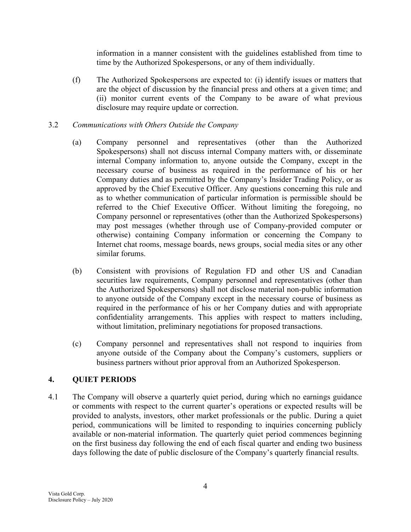information in a manner consistent with the guidelines established from time to time by the Authorized Spokespersons, or any of them individually.

(f) The Authorized Spokespersons are expected to: (i) identify issues or matters that are the object of discussion by the financial press and others at a given time; and (ii) monitor current events of the Company to be aware of what previous disclosure may require update or correction.

## 3.2 Communications with Others Outside the Company

- (a) Company personnel and representatives (other than the Authorized Spokespersons) shall not discuss internal Company matters with, or disseminate internal Company information to, anyone outside the Company, except in the necessary course of business as required in the performance of his or her Company duties and as permitted by the Company's Insider Trading Policy, or as approved by the Chief Executive Officer. Any questions concerning this rule and as to whether communication of particular information is permissible should be referred to the Chief Executive Officer. Without limiting the foregoing, no Company personnel or representatives (other than the Authorized Spokespersons) may post messages (whether through use of Company-provided computer or otherwise) containing Company information or concerning the Company to Internet chat rooms, message boards, news groups, social media sites or any other similar forums.
- (b) Consistent with provisions of Regulation FD and other US and Canadian securities law requirements, Company personnel and representatives (other than the Authorized Spokespersons) shall not disclose material non-public information to anyone outside of the Company except in the necessary course of business as required in the performance of his or her Company duties and with appropriate confidentiality arrangements. This applies with respect to matters including, without limitation, preliminary negotiations for proposed transactions.
- (c) Company personnel and representatives shall not respond to inquiries from anyone outside of the Company about the Company's customers, suppliers or business partners without prior approval from an Authorized Spokesperson.

## 4. QUIET PERIODS

4.1 The Company will observe a quarterly quiet period, during which no earnings guidance or comments with respect to the current quarter's operations or expected results will be provided to analysts, investors, other market professionals or the public. During a quiet period, communications will be limited to responding to inquiries concerning publicly available or non-material information. The quarterly quiet period commences beginning on the first business day following the end of each fiscal quarter and ending two business days following the date of public disclosure of the Company's quarterly financial results.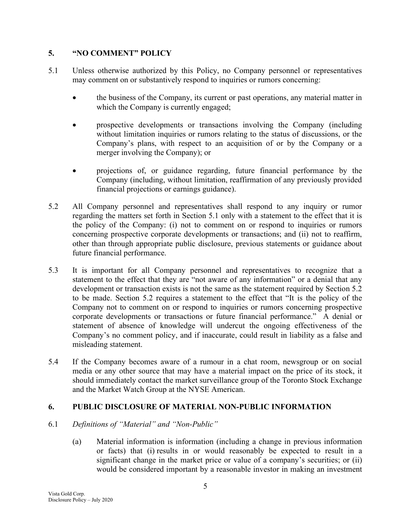## 5. "NO COMMENT" POLICY

- 5.1 Unless otherwise authorized by this Policy, no Company personnel or representatives may comment on or substantively respond to inquiries or rumors concerning:
	- the business of the Company, its current or past operations, any material matter in which the Company is currently engaged;
	- prospective developments or transactions involving the Company (including without limitation inquiries or rumors relating to the status of discussions, or the Company's plans, with respect to an acquisition of or by the Company or a merger involving the Company); or
	- projections of, or guidance regarding, future financial performance by the Company (including, without limitation, reaffirmation of any previously provided financial projections or earnings guidance).
- 5.2 All Company personnel and representatives shall respond to any inquiry or rumor regarding the matters set forth in Section 5.1 only with a statement to the effect that it is the policy of the Company: (i) not to comment on or respond to inquiries or rumors concerning prospective corporate developments or transactions; and (ii) not to reaffirm, other than through appropriate public disclosure, previous statements or guidance about future financial performance.
- 5.3 It is important for all Company personnel and representatives to recognize that a statement to the effect that they are "not aware of any information" or a denial that any development or transaction exists is not the same as the statement required by Section 5.2 to be made. Section 5.2 requires a statement to the effect that "It is the policy of the Company not to comment on or respond to inquiries or rumors concerning prospective corporate developments or transactions or future financial performance." A denial or statement of absence of knowledge will undercut the ongoing effectiveness of the Company's no comment policy, and if inaccurate, could result in liability as a false and misleading statement.
- 5.4 If the Company becomes aware of a rumour in a chat room, newsgroup or on social media or any other source that may have a material impact on the price of its stock, it should immediately contact the market surveillance group of the Toronto Stock Exchange and the Market Watch Group at the NYSE American.

# 6. PUBLIC DISCLOSURE OF MATERIAL NON-PUBLIC INFORMATION

- 6.1 Definitions of "Material" and "Non-Public"
	- (a) Material information is information (including a change in previous information or facts) that (i) results in or would reasonably be expected to result in a significant change in the market price or value of a company's securities; or (ii) would be considered important by a reasonable investor in making an investment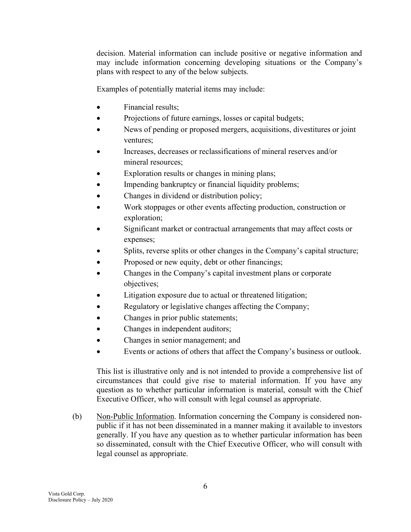decision. Material information can include positive or negative information and may include information concerning developing situations or the Company's plans with respect to any of the below subjects.

Examples of potentially material items may include:

- Financial results;
- Projections of future earnings, losses or capital budgets;
- News of pending or proposed mergers, acquisitions, divestitures or joint ventures;
- Increases, decreases or reclassifications of mineral reserves and/or mineral resources;
- Exploration results or changes in mining plans;
- Impending bankruptcy or financial liquidity problems;
- Changes in dividend or distribution policy;
- Work stoppages or other events affecting production, construction or exploration;
- Significant market or contractual arrangements that may affect costs or expenses;
- Splits, reverse splits or other changes in the Company's capital structure;
- Proposed or new equity, debt or other financings;
- Changes in the Company's capital investment plans or corporate objectives;
- Litigation exposure due to actual or threatened litigation;
- Regulatory or legislative changes affecting the Company;
- Changes in prior public statements;
- Changes in independent auditors;
- Changes in senior management; and
- Events or actions of others that affect the Company's business or outlook.

This list is illustrative only and is not intended to provide a comprehensive list of circumstances that could give rise to material information. If you have any question as to whether particular information is material, consult with the Chief Executive Officer, who will consult with legal counsel as appropriate.

(b) Non-Public Information. Information concerning the Company is considered nonpublic if it has not been disseminated in a manner making it available to investors generally. If you have any question as to whether particular information has been so disseminated, consult with the Chief Executive Officer, who will consult with legal counsel as appropriate.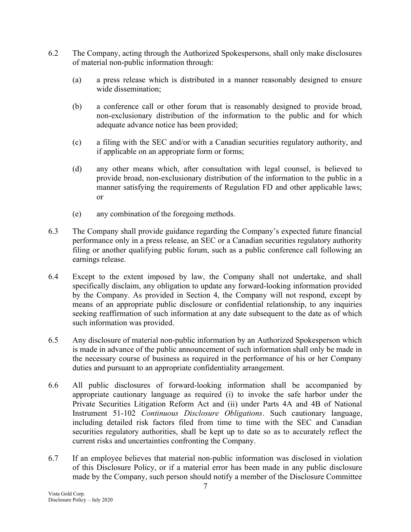- 6.2 The Company, acting through the Authorized Spokespersons, shall only make disclosures of material non-public information through:
	- (a) a press release which is distributed in a manner reasonably designed to ensure wide dissemination;
	- (b) a conference call or other forum that is reasonably designed to provide broad, non-exclusionary distribution of the information to the public and for which adequate advance notice has been provided;
	- (c) a filing with the SEC and/or with a Canadian securities regulatory authority, and if applicable on an appropriate form or forms;
	- (d) any other means which, after consultation with legal counsel, is believed to provide broad, non-exclusionary distribution of the information to the public in a manner satisfying the requirements of Regulation FD and other applicable laws; or
	- (e) any combination of the foregoing methods.
- 6.3 The Company shall provide guidance regarding the Company's expected future financial performance only in a press release, an SEC or a Canadian securities regulatory authority filing or another qualifying public forum, such as a public conference call following an earnings release.
- 6.4 Except to the extent imposed by law, the Company shall not undertake, and shall specifically disclaim, any obligation to update any forward-looking information provided by the Company. As provided in Section 4, the Company will not respond, except by means of an appropriate public disclosure or confidential relationship, to any inquiries seeking reaffirmation of such information at any date subsequent to the date as of which such information was provided.
- 6.5 Any disclosure of material non-public information by an Authorized Spokesperson which is made in advance of the public announcement of such information shall only be made in the necessary course of business as required in the performance of his or her Company duties and pursuant to an appropriate confidentiality arrangement.
- 6.6 All public disclosures of forward-looking information shall be accompanied by appropriate cautionary language as required (i) to invoke the safe harbor under the Private Securities Litigation Reform Act and (ii) under Parts 4A and 4B of National Instrument 51-102 Continuous Disclosure Obligations. Such cautionary language, including detailed risk factors filed from time to time with the SEC and Canadian securities regulatory authorities, shall be kept up to date so as to accurately reflect the current risks and uncertainties confronting the Company.
- 6.7 If an employee believes that material non-public information was disclosed in violation of this Disclosure Policy, or if a material error has been made in any public disclosure made by the Company, such person should notify a member of the Disclosure Committee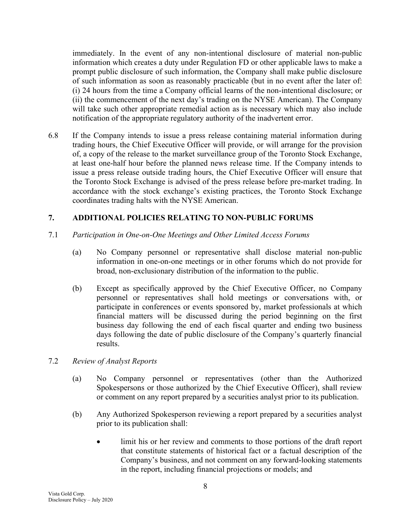immediately. In the event of any non-intentional disclosure of material non-public information which creates a duty under Regulation FD or other applicable laws to make a prompt public disclosure of such information, the Company shall make public disclosure of such information as soon as reasonably practicable (but in no event after the later of: (i) 24 hours from the time a Company official learns of the non-intentional disclosure; or (ii) the commencement of the next day's trading on the NYSE American). The Company will take such other appropriate remedial action as is necessary which may also include notification of the appropriate regulatory authority of the inadvertent error.

6.8 If the Company intends to issue a press release containing material information during trading hours, the Chief Executive Officer will provide, or will arrange for the provision of, a copy of the release to the market surveillance group of the Toronto Stock Exchange, at least one-half hour before the planned news release time. If the Company intends to issue a press release outside trading hours, the Chief Executive Officer will ensure that the Toronto Stock Exchange is advised of the press release before pre-market trading. In accordance with the stock exchange's existing practices, the Toronto Stock Exchange coordinates trading halts with the NYSE American.

# 7. ADDITIONAL POLICIES RELATING TO NON-PUBLIC FORUMS

- 7.1 Participation in One-on-One Meetings and Other Limited Access Forums
	- (a) No Company personnel or representative shall disclose material non-public information in one-on-one meetings or in other forums which do not provide for broad, non-exclusionary distribution of the information to the public.
	- (b) Except as specifically approved by the Chief Executive Officer, no Company personnel or representatives shall hold meetings or conversations with, or participate in conferences or events sponsored by, market professionals at which financial matters will be discussed during the period beginning on the first business day following the end of each fiscal quarter and ending two business days following the date of public disclosure of the Company's quarterly financial results.
- 7.2 Review of Analyst Reports
	- (a) No Company personnel or representatives (other than the Authorized Spokespersons or those authorized by the Chief Executive Officer), shall review or comment on any report prepared by a securities analyst prior to its publication.
	- (b) Any Authorized Spokesperson reviewing a report prepared by a securities analyst prior to its publication shall:
		- limit his or her review and comments to those portions of the draft report that constitute statements of historical fact or a factual description of the Company's business, and not comment on any forward-looking statements in the report, including financial projections or models; and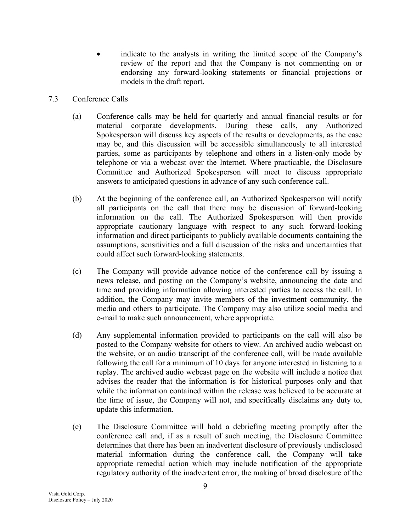- indicate to the analysts in writing the limited scope of the Company's review of the report and that the Company is not commenting on or endorsing any forward-looking statements or financial projections or models in the draft report.
- 7.3 Conference Calls
	- (a) Conference calls may be held for quarterly and annual financial results or for material corporate developments. During these calls, any Authorized Spokesperson will discuss key aspects of the results or developments, as the case may be, and this discussion will be accessible simultaneously to all interested parties, some as participants by telephone and others in a listen-only mode by telephone or via a webcast over the Internet. Where practicable, the Disclosure Committee and Authorized Spokesperson will meet to discuss appropriate answers to anticipated questions in advance of any such conference call.
	- (b) At the beginning of the conference call, an Authorized Spokesperson will notify all participants on the call that there may be discussion of forward-looking information on the call. The Authorized Spokesperson will then provide appropriate cautionary language with respect to any such forward-looking information and direct participants to publicly available documents containing the assumptions, sensitivities and a full discussion of the risks and uncertainties that could affect such forward-looking statements.
	- (c) The Company will provide advance notice of the conference call by issuing a news release, and posting on the Company's website, announcing the date and time and providing information allowing interested parties to access the call. In addition, the Company may invite members of the investment community, the media and others to participate. The Company may also utilize social media and e-mail to make such announcement, where appropriate.
	- (d) Any supplemental information provided to participants on the call will also be posted to the Company website for others to view. An archived audio webcast on the website, or an audio transcript of the conference call, will be made available following the call for a minimum of 10 days for anyone interested in listening to a replay. The archived audio webcast page on the website will include a notice that advises the reader that the information is for historical purposes only and that while the information contained within the release was believed to be accurate at the time of issue, the Company will not, and specifically disclaims any duty to, update this information.
	- (e) The Disclosure Committee will hold a debriefing meeting promptly after the conference call and, if as a result of such meeting, the Disclosure Committee determines that there has been an inadvertent disclosure of previously undisclosed material information during the conference call, the Company will take appropriate remedial action which may include notification of the appropriate regulatory authority of the inadvertent error, the making of broad disclosure of the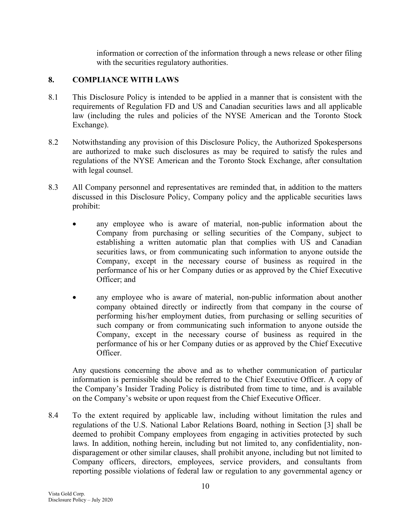information or correction of the information through a news release or other filing with the securities regulatory authorities.

## 8. COMPLIANCE WITH LAWS

- 8.1 This Disclosure Policy is intended to be applied in a manner that is consistent with the requirements of Regulation FD and US and Canadian securities laws and all applicable law (including the rules and policies of the NYSE American and the Toronto Stock Exchange).
- 8.2 Notwithstanding any provision of this Disclosure Policy, the Authorized Spokespersons are authorized to make such disclosures as may be required to satisfy the rules and regulations of the NYSE American and the Toronto Stock Exchange, after consultation with legal counsel.
- 8.3 All Company personnel and representatives are reminded that, in addition to the matters discussed in this Disclosure Policy, Company policy and the applicable securities laws prohibit:
	- any employee who is aware of material, non-public information about the Company from purchasing or selling securities of the Company, subject to establishing a written automatic plan that complies with US and Canadian securities laws, or from communicating such information to anyone outside the Company, except in the necessary course of business as required in the performance of his or her Company duties or as approved by the Chief Executive Officer; and
	- any employee who is aware of material, non-public information about another company obtained directly or indirectly from that company in the course of performing his/her employment duties, from purchasing or selling securities of such company or from communicating such information to anyone outside the Company, except in the necessary course of business as required in the performance of his or her Company duties or as approved by the Chief Executive Officer.

Any questions concerning the above and as to whether communication of particular information is permissible should be referred to the Chief Executive Officer. A copy of the Company's Insider Trading Policy is distributed from time to time, and is available on the Company's website or upon request from the Chief Executive Officer.

8.4 To the extent required by applicable law, including without limitation the rules and regulations of the U.S. National Labor Relations Board, nothing in Section [3] shall be deemed to prohibit Company employees from engaging in activities protected by such laws. In addition, nothing herein, including but not limited to, any confidentiality, nondisparagement or other similar clauses, shall prohibit anyone, including but not limited to Company officers, directors, employees, service providers, and consultants from reporting possible violations of federal law or regulation to any governmental agency or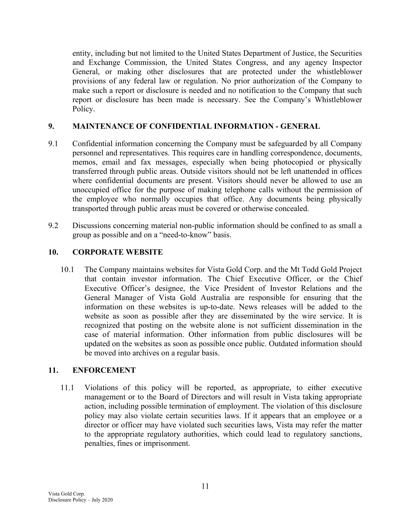entity, including but not limited to the United States Department of Justice, the Securities and Exchange Commission, the United States Congress, and any agency Inspector General, or making other disclosures that are protected under the whistleblower provisions of any federal law or regulation. No prior authorization of the Company to make such a report or disclosure is needed and no notification to the Company that such report or disclosure has been made is necessary. See the Company's Whistleblower Policy.

#### 9. MAINTENANCE OF CONFIDENTIAL INFORMATION - GENERAL

- 9.1 Confidential information concerning the Company must be safeguarded by all Company personnel and representatives. This requires care in handling correspondence, documents, memos, email and fax messages, especially when being photocopied or physically transferred through public areas. Outside visitors should not be left unattended in offices where confidential documents are present. Visitors should never be allowed to use an unoccupied office for the purpose of making telephone calls without the permission of the employee who normally occupies that office. Any documents being physically transported through public areas must be covered or otherwise concealed.
- 9.2 Discussions concerning material non-public information should be confined to as small a group as possible and on a "need-to-know" basis.

#### 10. CORPORATE WEBSITE

10.1 The Company maintains websites for Vista Gold Corp. and the Mt Todd Gold Project that contain investor information. The Chief Executive Officer, or the Chief Executive Officer's designee, the Vice President of Investor Relations and the General Manager of Vista Gold Australia are responsible for ensuring that the information on these websites is up-to-date. News releases will be added to the website as soon as possible after they are disseminated by the wire service. It is recognized that posting on the website alone is not sufficient dissemination in the case of material information. Other information from public disclosures will be updated on the websites as soon as possible once public. Outdated information should be moved into archives on a regular basis.

## 11. ENFORCEMENT

11.1 Violations of this policy will be reported, as appropriate, to either executive management or to the Board of Directors and will result in Vista taking appropriate action, including possible termination of employment. The violation of this disclosure policy may also violate certain securities laws. If it appears that an employee or a director or officer may have violated such securities laws, Vista may refer the matter to the appropriate regulatory authorities, which could lead to regulatory sanctions, penalties, fines or imprisonment.